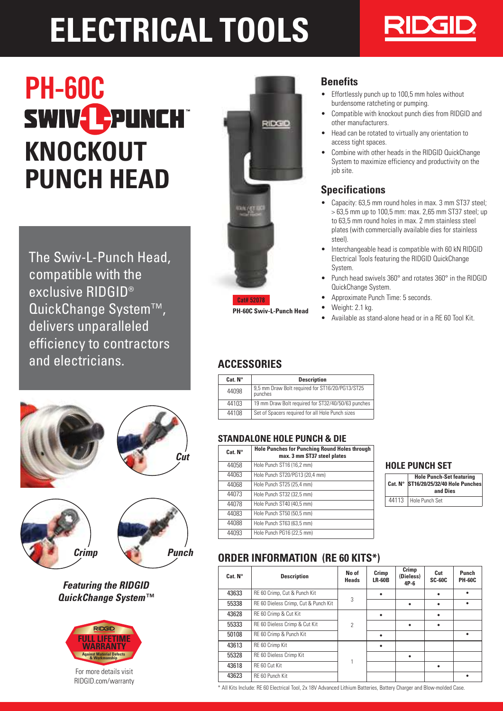# **ELECTRICAL TOOLS**



# PH-60C SWIV-PUNCH **KNOCKOUT PUNCH HEAD**

The Swiv-L-Punch Head, compatible with the exclusive RIDGID® QuickChange System™, delivers unparalleled efficiency to contractors and electricians.









## **Featuring the RIDGID QuickChange System™**



For more details visit RIDGID.com/warranty



## **Benefits**

- Effortlessly punch up to 100,5 mm holes without burdensome ratcheting or pumping.
- Compatible with knockout punch dies from RIDGID and other manufacturers.
- Head can be rotated to virtually any orientation to access tight spaces.
- Combine with other heads in the RIDGID QuickChange System to maximize efficiency and productivity on the job site.

# **Specifications**

- Capacity: 63,5 mm round holes in max. 3 mm ST37 steel; > 63,5 mm up to 100,5 mm: max. 2,65 mm ST37 steel; up to 63,5 mm round holes in max. 2 mm stainless steel plates (with commercially available dies for stainless steel).
- Interchangeable head is compatible with 60 kN RIDGID Electrical Tools featuring the RIDGID QuickChange System.
- Punch head swivels 360° and rotates 360° in the RIDGID QuickChange System.
- Approximate Punch Time: 5 seconds.
- Weight: 2.1 kg.
- Available as stand-alone head or in a RE 60 Tool Kit.

# **ACCESSORIES**

| Cat. N <sup>o</sup> | <b>Description</b>                                         |
|---------------------|------------------------------------------------------------|
| 44098               | 9,5 mm Draw Bolt required for ST16/20/PG13/ST25<br>punches |
| 44103               | 19 mm Draw Bolt required for ST32/40/50/63 punches         |
| 44108               | Set of Spacers required for all Hole Punch sizes           |

#### **STANDALONE HOLE PUNCH & DIE**

| Cat. N <sup>°</sup> | <b>Hole Punches for Punching Round Holes through</b><br>max. 3 mm ST37 steel plates |
|---------------------|-------------------------------------------------------------------------------------|
| 44058               | Hole Punch ST16 (16,2 mm)                                                           |
| 44063               | Hole Punch ST20/PG13 (20,4 mm)                                                      |
| 44068               | Hole Punch ST25 (25,4 mm)                                                           |
| 44073               | Hole Punch ST32 (32,5 mm)                                                           |
| 44078               | Hole Punch ST40 (40,5 mm)                                                           |
| 44083               | Hole Punch ST50 (50,5 mm)                                                           |
| 44088               | Hole Punch ST63 (63,5 mm)                                                           |
| 44093               | Hole Punch PG16 (22,5 mm)                                                           |

#### **HOLE PUNCH SET**

| <b>Hole Punch-Set featuring</b><br>Cat. N° ST16/20/25/32/40 Hole Punches<br>and Dies |
|--------------------------------------------------------------------------------------|
| 44113   Hole Punch Set                                                               |

# **ORDER INFORMATION (RE 60 KITS\*)**

| Cat. N <sup>o</sup> | <b>Description</b>                   | No of<br><b>Heads</b> | Crimp<br><b>LR-60B</b> | Crimp<br>(Dieless)<br>$4P-6$ | Cut<br><b>SC-60C</b> | Punch<br><b>PH-60C</b> |
|---------------------|--------------------------------------|-----------------------|------------------------|------------------------------|----------------------|------------------------|
| 43633               | RE 60 Crimp, Cut & Punch Kit         |                       |                        |                              | ٠                    | ٠                      |
| 55338               | RE 60 Dieless Crimp, Cut & Punch Kit | 3                     |                        |                              | ٠                    | ٠                      |
| 43628               | RE 60 Crimp & Cut Kit                |                       |                        |                              | ٠                    |                        |
| 55333               | RE 60 Dieless Crimp & Cut Kit        | 2                     |                        | ٠                            | ٠                    |                        |
| 50108               | RE 60 Crimp & Punch Kit              |                       |                        |                              |                      | ٠                      |
| 43613               | RE 60 Crimp Kit                      |                       |                        |                              |                      |                        |
| 55328               | RE 60 Dieless Crimp Kit              |                       |                        |                              |                      |                        |
| 43618               | RF 60 Cut Kit                        |                       |                        |                              | ٠                    |                        |
| 43623               | RF 60 Punch Kit                      |                       |                        |                              |                      | ٠                      |

\* All Kits Include: RE 60 Electrical Tool, 2x 18V Advanced Lithium Batteries, Battery Charger and Blow-molded Case.